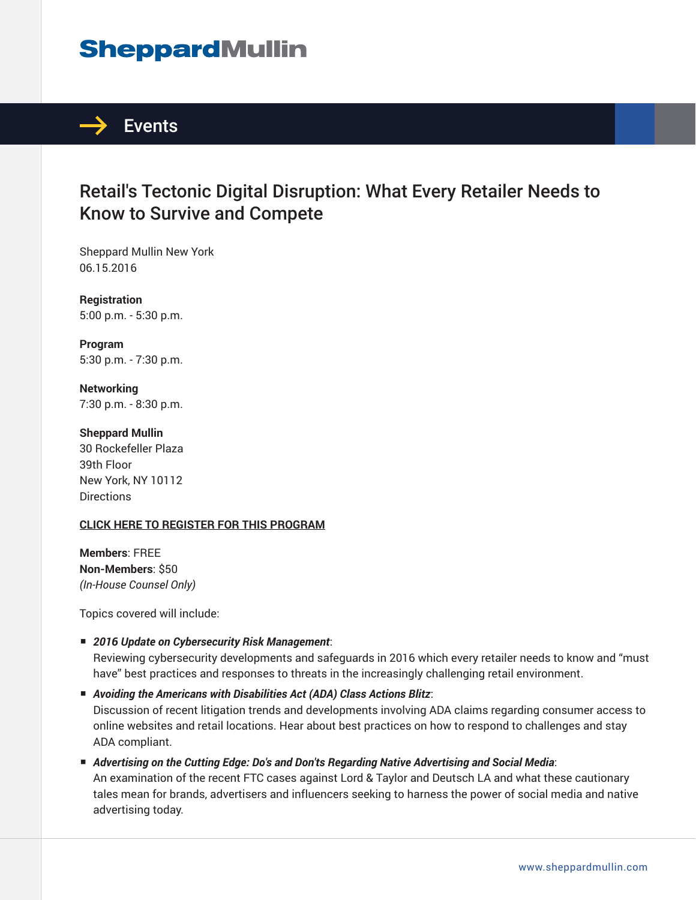# **SheppardMullin**



## Retail's Tectonic Digital Disruption: What Every Retailer Needs to Know to Survive and Compete

Sheppard Mullin New York 06.15.2016

**Registration** 5:00 p.m. - 5:30 p.m.

**Program** 5:30 p.m. - 7:30 p.m.

**Networking** 7:30 p.m. - 8:30 p.m.

**Sheppard Mullin** 30 Rockefeller Plaza 39th Floor New York, NY 10112 **Directions** 

#### **CLICK HERE TO REGISTER FOR THIS PROGRAM**

**Members**: FREE **Non-Members**: \$50 *(In-House Counsel Only)*

Topics covered will include:

■ *2016 Update on Cybersecurity Risk Management*:

Reviewing cybersecurity developments and safeguards in 2016 which every retailer needs to know and "must have" best practices and responses to threats in the increasingly challenging retail environment.

■ *Avoiding the Americans with Disabilities Act (ADA) Class Actions Blitz*:

Discussion of recent litigation trends and developments involving ADA claims regarding consumer access to online websites and retail locations. Hear about best practices on how to respond to challenges and stay ADA compliant.

■ *Advertising on the Cutting Edge: Do's and Don'ts Regarding Native Advertising and Social Media*: An examination of the recent FTC cases against Lord & Taylor and Deutsch LA and what these cautionary tales mean for brands, advertisers and influencers seeking to harness the power of social media and native advertising today.